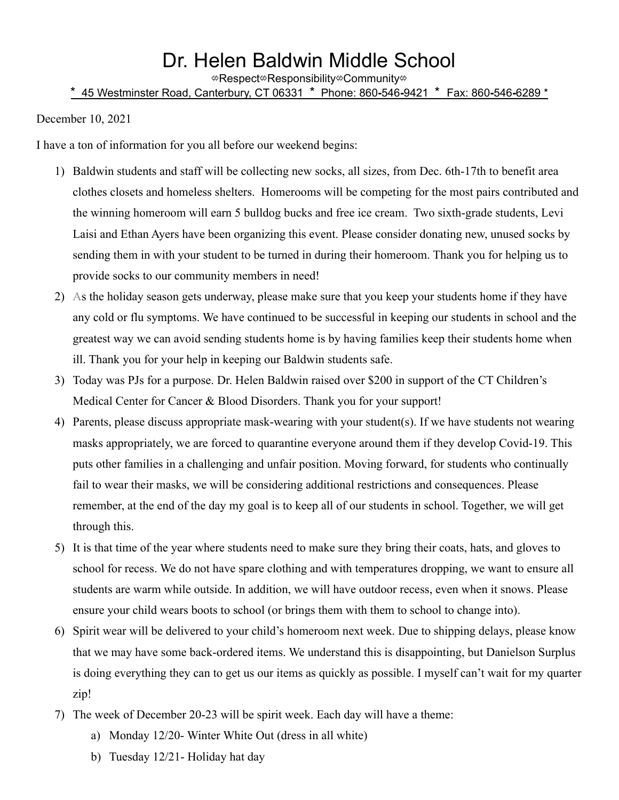## Dr. Helen Baldwin Middle School

⇎Respect⇎Responsibility⇎Community⇎

## \* 45 Westminster Road, Canterbury, CT 06331 \* Phone: 860**-**546**-**9421 \* Fax: 860**-**546**-**6289 \*

December 10, 2021

I have a ton of information for you all before our weekend begins:

- 1) Baldwin students and staff will be collecting new socks, all sizes, from Dec. 6th-17th to benefit area clothes closets and homeless shelters. Homerooms will be competing for the most pairs contributed and the winning homeroom will earn 5 bulldog bucks and free ice cream. Two sixth-grade students, Levi Laisi and Ethan Ayers have been organizing this event. Please consider donating new, unused socks by sending them in with your student to be turned in during their homeroom. Thank you for helping us to provide socks to our community members in need!
- 2) As the holiday season gets underway, please make sure that you keep your students home if they have any cold or flu symptoms. We have continued to be successful in keeping our students in school and the greatest way we can avoid sending students home is by having families keep their students home when ill. Thank you for your help in keeping our Baldwin students safe.
- 3) Today was PJs for a purpose. Dr. Helen Baldwin raised over \$200 in support of the CT Children's Medical Center for Cancer & Blood Disorders. Thank you for your support!
- 4) Parents, please discuss appropriate mask-wearing with your student(s). If we have students not wearing masks appropriately, we are forced to quarantine everyone around them if they develop Covid-19. This puts other families in a challenging and unfair position. Moving forward, for students who continually fail to wear their masks, we will be considering additional restrictions and consequences. Please remember, at the end of the day my goal is to keep all of our students in school. Together, we will get through this.
- 5) It is that time of the year where students need to make sure they bring their coats, hats, and gloves to school for recess. We do not have spare clothing and with temperatures dropping, we want to ensure all students are warm while outside. In addition, we will have outdoor recess, even when it snows. Please ensure your child wears boots to school (or brings them with them to school to change into).
- 6) Spirit wear will be delivered to your child's homeroom next week. Due to shipping delays, please know that we may have some back-ordered items. We understand this is disappointing, but Danielson Surplus is doing everything they can to get us our items as quickly as possible. I myself can't wait for my quarter zip!
- 7) The week of December 20-23 will be spirit week. Each day will have a theme:
	- a) Monday 12/20- Winter White Out (dress in all white)
	- b) Tuesday 12/21- Holiday hat day